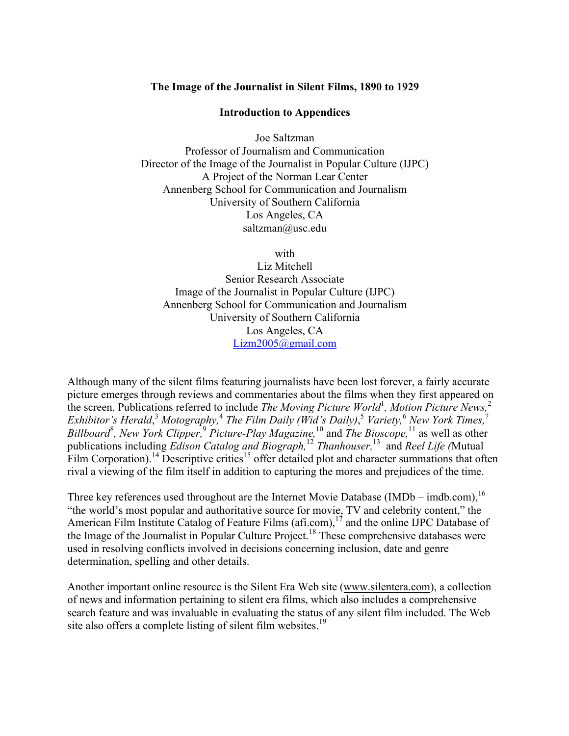## **The Image of the Journalist in Silent Films, 1890 to 1929**

## **Introduction to Appendices**

Joe Saltzman Professor of Journalism and Communication Director of the Image of the Journalist in Popular Culture (IJPC) A Project of the Norman Lear Center Annenberg School for Communication and Journalism University of Southern California Los Angeles, CA saltzman@usc.edu

with

Liz Mitchell Senior Research Associate Image of the Journalist in Popular Culture (IJPC) Annenberg School for Communication and Journalism University of Southern California Los Angeles, CA Lizm2005@gmail.com

Although many of the silent films featuring journalists have been lost forever, a fairly accurate picture emerges through reviews and commentaries about the films when they first appeared on the screen. Publications referred to include *The Moving Picture World*<sup>1</sup>, Motion Picture News,<sup>2</sup> *Exhibitor's Herald*, <sup>3</sup> *Motography,*<sup>4</sup> *The Film Daily (Wid's Daily)*, <sup>5</sup> *Variety,*<sup>6</sup> *New York Times,*<sup>7</sup> *Billboard*<sup>8</sup> *, New York Clipper,*<sup>9</sup> *Picture-Play Magazine,*<sup>10</sup> and *The Bioscope,* <sup>11</sup> as well as other publications including *Edison Catalog and Biograph,*<sup>12</sup> *Thanhouser,*<sup>13</sup> and *Reel Life (*Mutual Film Corporation).<sup>14</sup> Descriptive critics<sup>15</sup> offer detailed plot and character summations that often rival a viewing of the film itself in addition to capturing the mores and prejudices of the time.

Three key references used throughout are the Internet Movie Database (IMDb – imdb.com),<sup>16</sup> "the world's most popular and authoritative source for movie, TV and celebrity content," the American Film Institute Catalog of Feature Films (afi.com),  $1<sup>7</sup>$  and the online IJPC Database of the Image of the Journalist in Popular Culture Project.<sup>18</sup> These comprehensive databases were used in resolving conflicts involved in decisions concerning inclusion, date and genre determination, spelling and other details.

Another important online resource is the Silent Era Web site (www.silentera.com), a collection of news and information pertaining to silent era films, which also includes a comprehensive search feature and was invaluable in evaluating the status of any silent film included. The Web site also offers a complete listing of silent film websites.<sup>19</sup>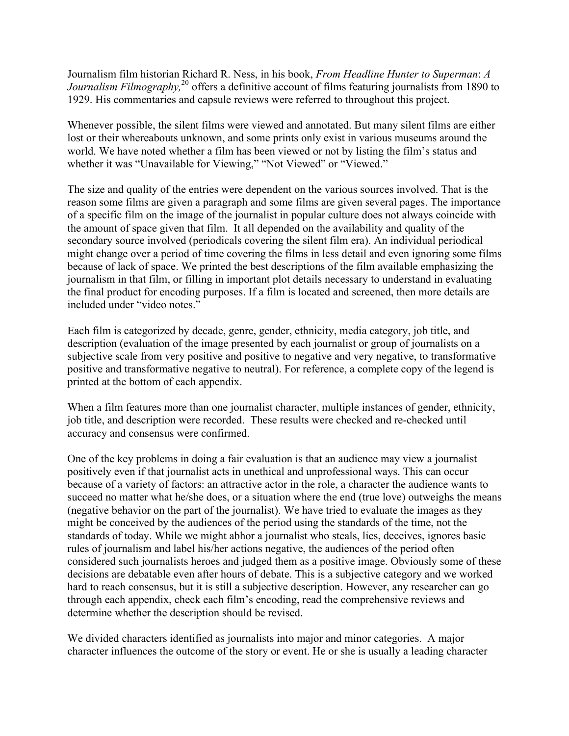Journalism film historian Richard R. Ness, in his book, *From Headline Hunter to Superman*: *A Journalism Filmography*,<sup>20</sup> offers a definitive account of films featuring journalists from 1890 to 1929. His commentaries and capsule reviews were referred to throughout this project.

Whenever possible, the silent films were viewed and annotated. But many silent films are either lost or their whereabouts unknown, and some prints only exist in various museums around the world. We have noted whether a film has been viewed or not by listing the film's status and whether it was "Unavailable for Viewing," "Not Viewed" or "Viewed."

The size and quality of the entries were dependent on the various sources involved. That is the reason some films are given a paragraph and some films are given several pages. The importance of a specific film on the image of the journalist in popular culture does not always coincide with the amount of space given that film. It all depended on the availability and quality of the secondary source involved (periodicals covering the silent film era). An individual periodical might change over a period of time covering the films in less detail and even ignoring some films because of lack of space. We printed the best descriptions of the film available emphasizing the journalism in that film, or filling in important plot details necessary to understand in evaluating the final product for encoding purposes. If a film is located and screened, then more details are included under "video notes."

Each film is categorized by decade, genre, gender, ethnicity, media category, job title, and description (evaluation of the image presented by each journalist or group of journalists on a subjective scale from very positive and positive to negative and very negative, to transformative positive and transformative negative to neutral). For reference, a complete copy of the legend is printed at the bottom of each appendix.

When a film features more than one journalist character, multiple instances of gender, ethnicity, job title, and description were recorded. These results were checked and re-checked until accuracy and consensus were confirmed.

One of the key problems in doing a fair evaluation is that an audience may view a journalist positively even if that journalist acts in unethical and unprofessional ways. This can occur because of a variety of factors: an attractive actor in the role, a character the audience wants to succeed no matter what he/she does, or a situation where the end (true love) outweighs the means (negative behavior on the part of the journalist). We have tried to evaluate the images as they might be conceived by the audiences of the period using the standards of the time, not the standards of today. While we might abhor a journalist who steals, lies, deceives, ignores basic rules of journalism and label his/her actions negative, the audiences of the period often considered such journalists heroes and judged them as a positive image. Obviously some of these decisions are debatable even after hours of debate. This is a subjective category and we worked hard to reach consensus, but it is still a subjective description. However, any researcher can go through each appendix, check each film's encoding, read the comprehensive reviews and determine whether the description should be revised.

We divided characters identified as journalists into major and minor categories. A major character influences the outcome of the story or event. He or she is usually a leading character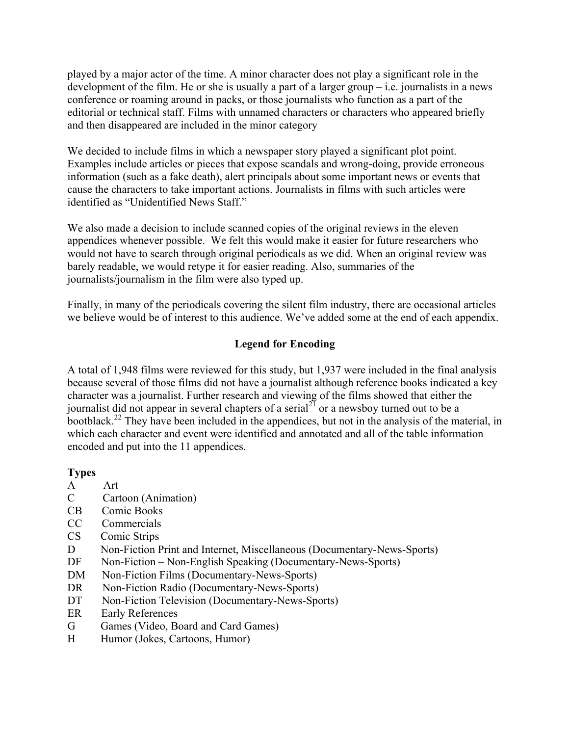played by a major actor of the time. A minor character does not play a significant role in the development of the film. He or she is usually a part of a larger group – i.e. journalists in a news conference or roaming around in packs, or those journalists who function as a part of the editorial or technical staff. Films with unnamed characters or characters who appeared briefly and then disappeared are included in the minor category

We decided to include films in which a newspaper story played a significant plot point. Examples include articles or pieces that expose scandals and wrong-doing, provide erroneous information (such as a fake death), alert principals about some important news or events that cause the characters to take important actions. Journalists in films with such articles were identified as "Unidentified News Staff."

We also made a decision to include scanned copies of the original reviews in the eleven appendices whenever possible. We felt this would make it easier for future researchers who would not have to search through original periodicals as we did. When an original review was barely readable, we would retype it for easier reading. Also, summaries of the journalists/journalism in the film were also typed up.

Finally, in many of the periodicals covering the silent film industry, there are occasional articles we believe would be of interest to this audience. We've added some at the end of each appendix.

# **Legend for Encoding**

A total of 1,948 films were reviewed for this study, but 1,937 were included in the final analysis because several of those films did not have a journalist although reference books indicated a key character was a journalist. Further research and viewing of the films showed that either the journalist did not appear in several chapters of a serial<sup>21</sup> or a newsboy turned out to be a bootblack.<sup>22</sup> They have been included in the appendices, but not in the analysis of the material, in which each character and event were identified and annotated and all of the table information encoded and put into the 11 appendices.

# **Types**

- A Art
- C Cartoon (Animation)
- CB Comic Books
- CC Commercials
- CS Comic Strips
- D Non-Fiction Print and Internet, Miscellaneous (Documentary-News-Sports)
- DF Non-Fiction Non-English Speaking (Documentary-News-Sports)
- DM Non-Fiction Films (Documentary-News-Sports)
- DR Non-Fiction Radio (Documentary-News-Sports)
- DT Non-Fiction Television (Documentary-News-Sports)
- ER Early References
- G Games (Video, Board and Card Games)
- H Humor (Jokes, Cartoons, Humor)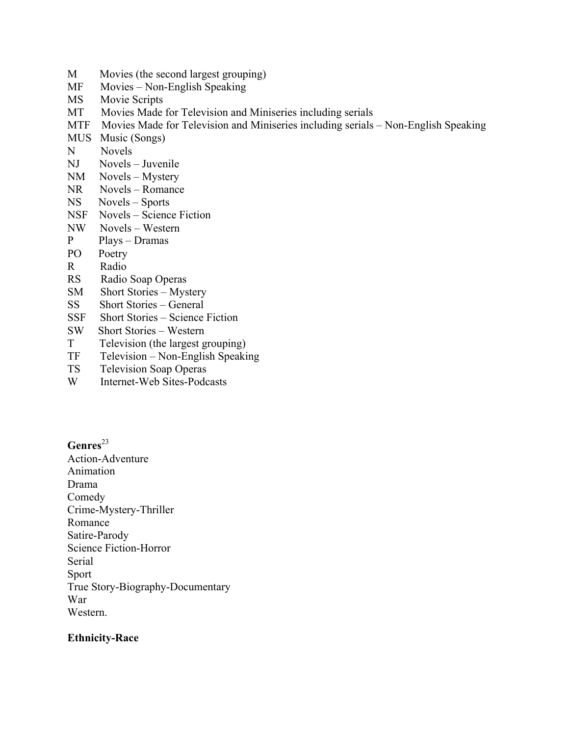- M Movies (the second largest grouping)
- MF Movies Non-English Speaking
- MS Movie Scripts
- MT Movies Made for Television and Miniseries including serials
- MTF Movies Made for Television and Miniseries including serials Non-English Speaking
- MUS Music (Songs)
- N Novels
- NJ Novels Juvenile
- NM Novels Mystery
- NR Novels Romance
- NS Novels Sports
- NSF Novels Science Fiction
- NW Novels Western
- P Plays Dramas
- PO Poetry
- R Radio
- RS Radio Soap Operas
- SM Short Stories Mystery
- SS Short Stories General
- SSF Short Stories Science Fiction
- SW Short Stories Western
- T Television (the largest grouping)
- TF Television Non-English Speaking
- TS Television Soap Operas
- W Internet-Web Sites-Podcasts

Genres<sup>23</sup>

Action-Adventure Animation Drama Comedy Crime-Mystery-Thriller Romance Satire-Parody Science Fiction-Horror Serial Sport True Story-Biography-Documentary War Western.

#### **Ethnicity-Race**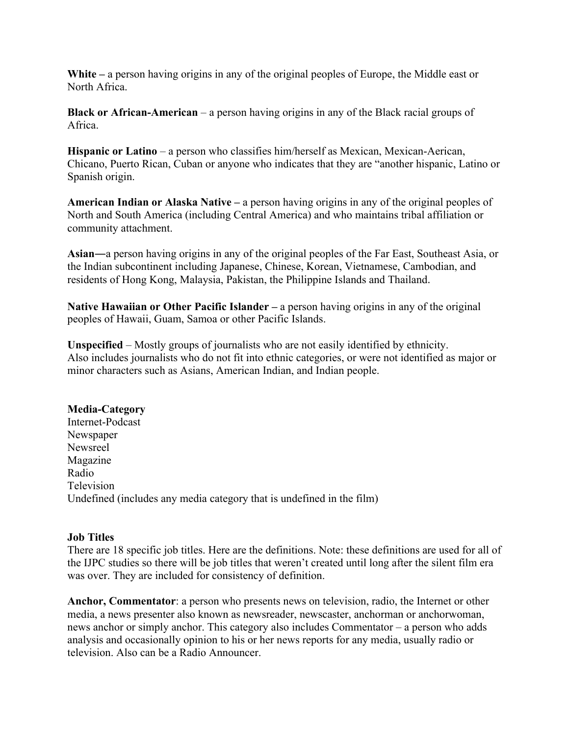**White –** a person having origins in any of the original peoples of Europe, the Middle east or North Africa.

**Black or African-American** – a person having origins in any of the Black racial groups of Africa.

**Hispanic or Latino** *–* a person who classifies him/herself as Mexican, Mexican-Aerican, Chicano, Puerto Rican, Cuban or anyone who indicates that they are "another hispanic, Latino or Spanish origin.

**American Indian or Alaska Native –** a person having origins in any of the original peoples of North and South America (including Central America) and who maintains tribal affiliation or community attachment.

**Asian**―a person having origins in any of the original peoples of the Far East, Southeast Asia, or the Indian subcontinent including Japanese, Chinese, Korean, Vietnamese, Cambodian, and residents of Hong Kong, Malaysia, Pakistan, the Philippine Islands and Thailand.

**Native Hawaiian or Other Pacific Islander –** a person having origins in any of the original peoples of Hawaii, Guam, Samoa or other Pacific Islands.

**Unspecified** – Mostly groups of journalists who are not easily identified by ethnicity. Also includes journalists who do not fit into ethnic categories, or were not identified as major or minor characters such as Asians, American Indian, and Indian people.

## **Media-Category**

Internet-Podcast Newspaper Newsreel Magazine Radio Television Undefined (includes any media category that is undefined in the film)

## **Job Titles**

There are 18 specific job titles. Here are the definitions. Note: these definitions are used for all of the IJPC studies so there will be job titles that weren't created until long after the silent film era was over. They are included for consistency of definition.

**Anchor, Commentator**: a person who presents news on television, radio, the Internet or other media, a news presenter also known as newsreader, newscaster, anchorman or anchorwoman, news anchor or simply anchor. This category also includes Commentator – a person who adds analysis and occasionally opinion to his or her news reports for any media, usually radio or television. Also can be a Radio Announcer.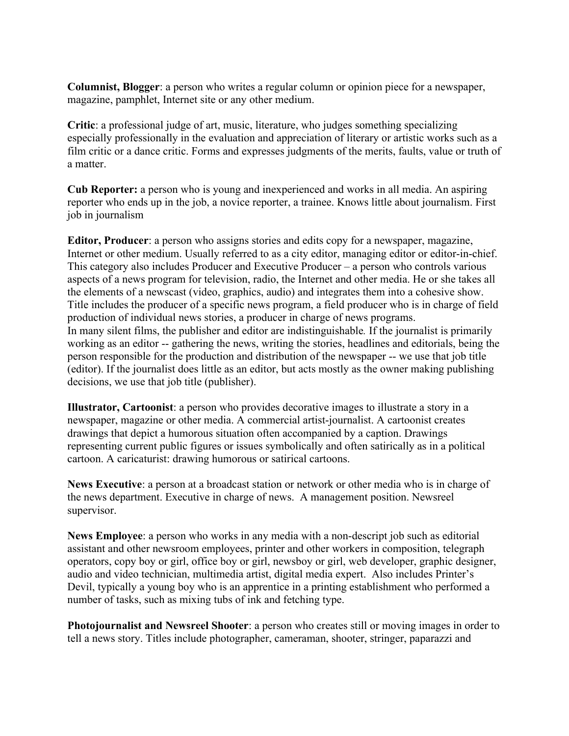**Columnist, Blogger**: a person who writes a regular column or opinion piece for a newspaper, magazine, pamphlet, Internet site or any other medium.

**Critic**: a professional judge of art, music, literature, who judges something specializing especially professionally in the evaluation and appreciation of literary or artistic works such as a film critic or a dance critic. Forms and expresses judgments of the merits, faults, value or truth of a matter.

**Cub Reporter:** a person who is young and inexperienced and works in all media. An aspiring reporter who ends up in the job, a novice reporter, a trainee. Knows little about journalism. First job in journalism

**Editor, Producer**: a person who assigns stories and edits copy for a newspaper, magazine, Internet or other medium. Usually referred to as a city editor, managing editor or editor-in-chief. This category also includes Producer and Executive Producer – a person who controls various aspects of a news program for television, radio, the Internet and other media. He or she takes all the elements of a newscast (video, graphics, audio) and integrates them into a cohesive show. Title includes the producer of a specific news program, a field producer who is in charge of field production of individual news stories, a producer in charge of news programs. In many silent films, the publisher and editor are indistinguishable*.* If the journalist is primarily working as an editor -- gathering the news, writing the stories, headlines and editorials, being the person responsible for the production and distribution of the newspaper -- we use that job title (editor). If the journalist does little as an editor, but acts mostly as the owner making publishing decisions, we use that job title (publisher).

**Illustrator, Cartoonist**: a person who provides decorative images to illustrate a story in a newspaper, magazine or other media. A commercial artist-journalist. A cartoonist creates drawings that depict a humorous situation often accompanied by a caption. Drawings representing current public figures or issues symbolically and often satirically as in a political cartoon. A caricaturist: drawing humorous or satirical cartoons.

**News Executive**: a person at a broadcast station or network or other media who is in charge of the news department. Executive in charge of news. A management position. Newsreel supervisor.

**News Employee**: a person who works in any media with a non-descript job such as editorial assistant and other newsroom employees, printer and other workers in composition, telegraph operators, copy boy or girl, office boy or girl, newsboy or girl, web developer, graphic designer, audio and video technician, multimedia artist, digital media expert. Also includes Printer's Devil, typically a young boy who is an apprentice in a printing establishment who performed a number of tasks, such as mixing tubs of ink and fetching type.

**Photojournalist and Newsreel Shooter**: a person who creates still or moving images in order to tell a news story. Titles include photographer, cameraman, shooter, stringer, paparazzi and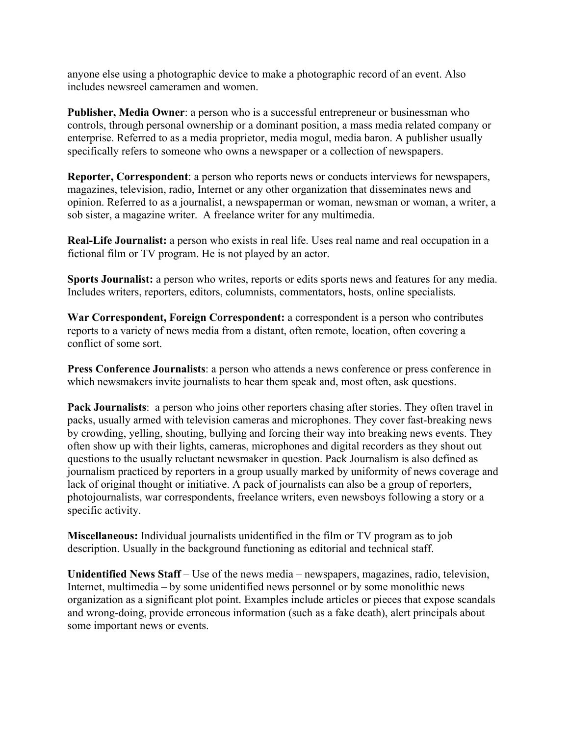anyone else using a photographic device to make a photographic record of an event. Also includes newsreel cameramen and women.

**Publisher, Media Owner**: a person who is a successful entrepreneur or businessman who controls, through personal ownership or a dominant position, a mass media related company or enterprise. Referred to as a media proprietor, media mogul, media baron. A publisher usually specifically refers to someone who owns a newspaper or a collection of newspapers.

**Reporter, Correspondent**: a person who reports news or conducts interviews for newspapers, magazines, television, radio, Internet or any other organization that disseminates news and opinion. Referred to as a journalist, a newspaperman or woman, newsman or woman, a writer, a sob sister, a magazine writer. A freelance writer for any multimedia.

**Real-Life Journalist:** a person who exists in real life. Uses real name and real occupation in a fictional film or TV program. He is not played by an actor.

**Sports Journalist:** a person who writes, reports or edits sports news and features for any media. Includes writers, reporters, editors, columnists, commentators, hosts, online specialists.

**War Correspondent, Foreign Correspondent:** a correspondent is a person who contributes reports to a variety of news media from a distant, often remote, location, often covering a conflict of some sort.

**Press Conference Journalists**: a person who attends a news conference or press conference in which newsmakers invite journalists to hear them speak and, most often, ask questions.

**Pack Journalists**: a person who joins other reporters chasing after stories. They often travel in packs, usually armed with television cameras and microphones. They cover fast-breaking news by crowding, yelling, shouting, bullying and forcing their way into breaking news events. They often show up with their lights, cameras, microphones and digital recorders as they shout out questions to the usually reluctant newsmaker in question. Pack Journalism is also defined as journalism practiced by reporters in a group usually marked by uniformity of news coverage and lack of original thought or initiative. A pack of journalists can also be a group of reporters, photojournalists, war correspondents, freelance writers, even newsboys following a story or a specific activity.

**Miscellaneous:** Individual journalists unidentified in the film or TV program as to job description. Usually in the background functioning as editorial and technical staff.

**Unidentified News Staff** – Use of the news media – newspapers, magazines, radio, television, Internet, multimedia – by some unidentified news personnel or by some monolithic news organization as a significant plot point. Examples include articles or pieces that expose scandals and wrong-doing, provide erroneous information (such as a fake death), alert principals about some important news or events.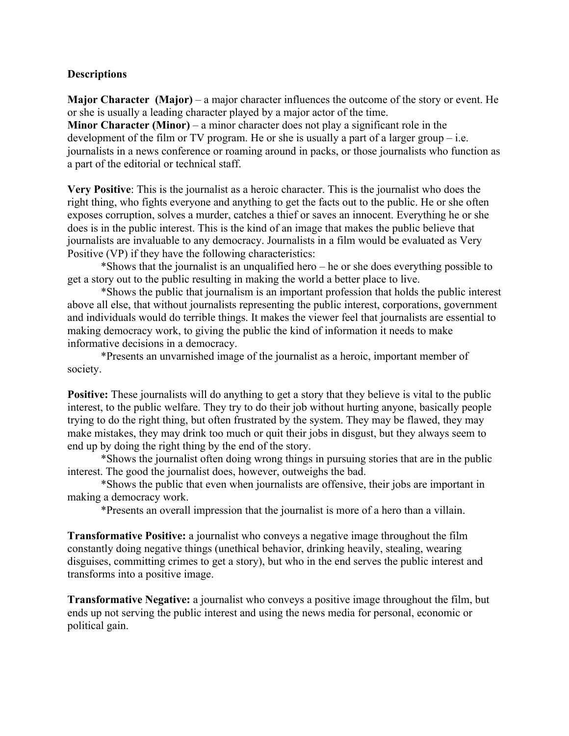## **Descriptions**

**Major Character (Major)** – a major character influences the outcome of the story or event. He or she is usually a leading character played by a major actor of the time. **Minor Character (Minor)** – a minor character does not play a significant role in the development of the film or TV program. He or she is usually a part of a larger group  $-i.e.$ journalists in a news conference or roaming around in packs, or those journalists who function as a part of the editorial or technical staff.

**Very Positive**: This is the journalist as a heroic character. This is the journalist who does the right thing, who fights everyone and anything to get the facts out to the public. He or she often exposes corruption, solves a murder, catches a thief or saves an innocent. Everything he or she does is in the public interest. This is the kind of an image that makes the public believe that journalists are invaluable to any democracy. Journalists in a film would be evaluated as Very Positive (VP) if they have the following characteristics:

\*Shows that the journalist is an unqualified hero – he or she does everything possible to get a story out to the public resulting in making the world a better place to live.

\*Shows the public that journalism is an important profession that holds the public interest above all else, that without journalists representing the public interest, corporations, government and individuals would do terrible things. It makes the viewer feel that journalists are essential to making democracy work, to giving the public the kind of information it needs to make informative decisions in a democracy.

\*Presents an unvarnished image of the journalist as a heroic, important member of society.

**Positive:** These journalists will do anything to get a story that they believe is vital to the public interest, to the public welfare. They try to do their job without hurting anyone, basically people trying to do the right thing, but often frustrated by the system. They may be flawed, they may make mistakes, they may drink too much or quit their jobs in disgust, but they always seem to end up by doing the right thing by the end of the story.

\*Shows the journalist often doing wrong things in pursuing stories that are in the public interest. The good the journalist does, however, outweighs the bad.

\*Shows the public that even when journalists are offensive, their jobs are important in making a democracy work.

\*Presents an overall impression that the journalist is more of a hero than a villain.

**Transformative Positive:** a journalist who conveys a negative image throughout the film constantly doing negative things (unethical behavior, drinking heavily, stealing, wearing disguises, committing crimes to get a story), but who in the end serves the public interest and transforms into a positive image.

**Transformative Negative:** a journalist who conveys a positive image throughout the film, but ends up not serving the public interest and using the news media for personal, economic or political gain.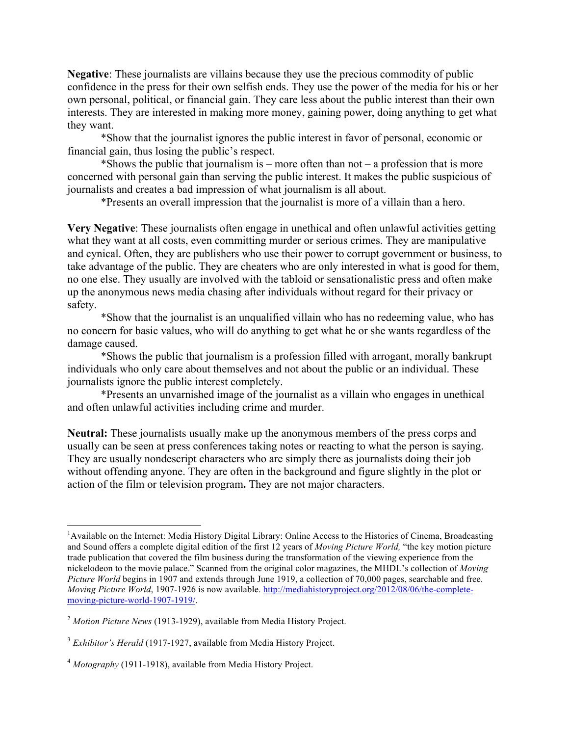**Negative**: These journalists are villains because they use the precious commodity of public confidence in the press for their own selfish ends. They use the power of the media for his or her own personal, political, or financial gain. They care less about the public interest than their own interests. They are interested in making more money, gaining power, doing anything to get what they want.

\*Show that the journalist ignores the public interest in favor of personal, economic or financial gain, thus losing the public's respect.

\*Shows the public that journalism is – more often than not – a profession that is more concerned with personal gain than serving the public interest. It makes the public suspicious of journalists and creates a bad impression of what journalism is all about.

\*Presents an overall impression that the journalist is more of a villain than a hero.

**Very Negative**: These journalists often engage in unethical and often unlawful activities getting what they want at all costs, even committing murder or serious crimes. They are manipulative and cynical. Often, they are publishers who use their power to corrupt government or business, to take advantage of the public. They are cheaters who are only interested in what is good for them, no one else. They usually are involved with the tabloid or sensationalistic press and often make up the anonymous news media chasing after individuals without regard for their privacy or safety.

\*Show that the journalist is an unqualified villain who has no redeeming value, who has no concern for basic values, who will do anything to get what he or she wants regardless of the damage caused.

\*Shows the public that journalism is a profession filled with arrogant, morally bankrupt individuals who only care about themselves and not about the public or an individual. These journalists ignore the public interest completely.

\*Presents an unvarnished image of the journalist as a villain who engages in unethical and often unlawful activities including crime and murder.

**Neutral:** These journalists usually make up the anonymous members of the press corps and usually can be seen at press conferences taking notes or reacting to what the person is saying. They are usually nondescript characters who are simply there as journalists doing their job without offending anyone. They are often in the background and figure slightly in the plot or action of the film or television program**.** They are not major characters.

 

<sup>&</sup>lt;sup>1</sup> Available on the Internet: Media History Digital Library: Online Access to the Histories of Cinema, Broadcasting and Sound offers a complete digital edition of the first 12 years of *Moving Picture World,* "the key motion picture trade publication that covered the film business during the transformation of the viewing experience from the nickelodeon to the movie palace." Scanned from the original color magazines, the MHDL's collection of *Moving Picture World* begins in 1907 and extends through June 1919, a collection of 70,000 pages, searchable and free. *Moving Picture World*, 1907-1926 is now available. http://mediahistoryproject.org/2012/08/06/the-completemoving-picture-world-1907-1919/.

<sup>2</sup> *Motion Picture News* (1913-1929), available from Media History Project.

<sup>&</sup>lt;sup>3</sup> *Exhibitor's Herald* (1917-1927, available from Media History Project.

<sup>4</sup> *Motography* (1911-1918), available from Media History Project.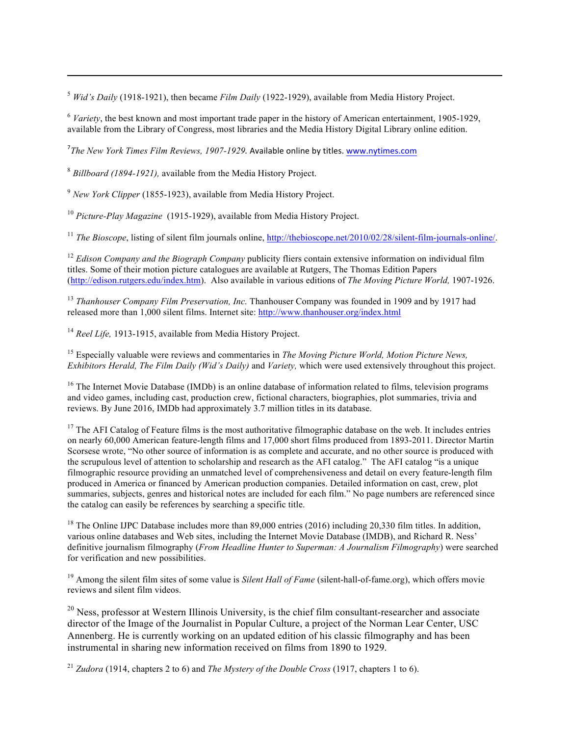<sup>5</sup> *Wid's Daily* (1918-1921), then became *Film Daily* (1922-1929), available from Media History Project.

<sup>6</sup> *Variety*, the best known and most important trade paper in the history of American entertainment, 1905-1929, available from the Library of Congress, most libraries and the Media History Digital Library online edition.

<u> Alexandro de la contrada de la contrada de la contrada de la contrada de la contrada de la contrada de la co</u>

<sup>7</sup>The New York Times Film Reviews, 1907-1929. Available online by titles. www.nytimes.com

<sup>8</sup> *Billboard (1894-1921),* available from the Media History Project.

<sup>9</sup> *New York Clipper* (1855-1923), available from Media History Project.

<sup>10</sup> *Picture-Play Magazine* (1915-1929), available from Media History Project.

<sup>11</sup> *The Bioscope*, listing of silent film journals online, http://thebioscope.net/2010/02/28/silent-film-journals-online/.

<sup>12</sup> *Edison Company and the Biograph Company* publicity fliers contain extensive information on individual film titles. Some of their motion picture catalogues are available at Rutgers, The Thomas Edition Papers (http://edison.rutgers.edu/index.htm). Also available in various editions of *The Moving Picture World,* 1907-1926.

<sup>13</sup> *Thanhouser Company Film Preservation, Inc.* Thanhouser Company was founded in 1909 and by 1917 had released more than 1,000 silent films. Internet site: http://www.thanhouser.org/index.html

<sup>14</sup> *Reel Life*, 1913-1915, available from Media History Project.

<sup>15</sup> Especially valuable were reviews and commentaries in *The Moving Picture World, Motion Picture News, Exhibitors Herald, The Film Daily (Wid's Daily)* and *Variety,* which were used extensively throughout this project.

<sup>16</sup> The Internet Movie Database (IMDb) is an online database of information related to films, television programs and video games, including cast, production crew, fictional characters, biographies, plot summaries, trivia and reviews. By June 2016, IMDb had approximately 3.7 million titles in its database.

 $17$  The AFI Catalog of Feature films is the most authoritative filmographic database on the web. It includes entries on nearly 60,000 American feature-length films and 17,000 short films produced from 1893-2011. Director Martin Scorsese wrote, "No other source of information is as complete and accurate, and no other source is produced with the scrupulous level of attention to scholarship and research as the AFI catalog." The AFI catalog "is a unique filmographic resource providing an unmatched level of comprehensiveness and detail on every feature-length film produced in America or financed by American production companies. Detailed information on cast, crew, plot summaries, subjects, genres and historical notes are included for each film." No page numbers are referenced since the catalog can easily be references by searching a specific title.

<sup>18</sup> The Online IJPC Database includes more than 89,000 entries (2016) including 20,330 film titles. In addition, various online databases and Web sites, including the Internet Movie Database (IMDB), and Richard R. Ness' definitive journalism filmography (*From Headline Hunter to Superman: A Journalism Filmography*) were searched for verification and new possibilities.

<sup>19</sup> Among the silent film sites of some value is *Silent Hall of Fame* (silent-hall-of-fame.org), which offers movie reviews and silent film videos.

<sup>20</sup> Ness, professor at Western Illinois University, is the chief film consultant-researcher and associate director of the Image of the Journalist in Popular Culture, a project of the Norman Lear Center, USC Annenberg. He is currently working on an updated edition of his classic filmography and has been instrumental in sharing new information received on films from 1890 to 1929.

<sup>21</sup> *Zudora* (1914, chapters 2 to 6) and *The Mystery of the Double Cross* (1917, chapters 1 to 6).